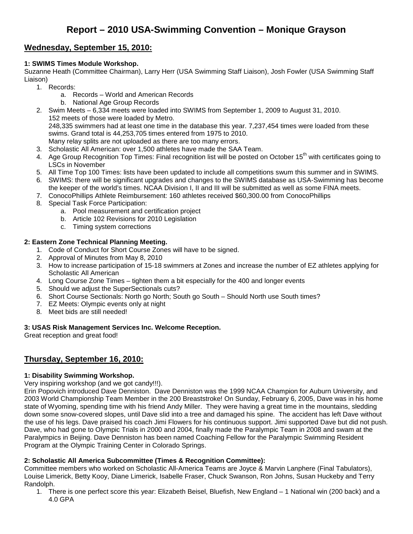# **Wednesday, September 15, 2010:**

## **1: SWIMS Times Module Workshop.**

Suzanne Heath (Committee Chairman), Larry Herr (USA Swimming Staff Liaison), Josh Fowler (USA Swimming Staff Liaison)

- 1. Records:
	- a. Records World and American Records
	- b. National Age Group Records
- 2. Swim Meets 6,334 meets were loaded into SWIMS from September 1, 2009 to August 31, 2010. 152 meets of those were loaded by Metro. 248,335 swimmers had at least one time in the database this year. 7,237,454 times were loaded from these swims. Grand total is 44,253,705 times entered from 1975 to 2010. Many relay splits are not uploaded as there are too many errors.
- 3. Scholastic All American: over 1,500 athletes have made the SAA Team.
- 4. Age Group Recognition Top Times: Final recognition list will be posted on October 15<sup>th</sup> with certificates going to LSCs in November
- 5. All Time Top 100 Times: lists have been updated to include all competitions swum this summer and in SWIMS.
- 6. SWIMS: there will be significant upgrades and changes to the SWIMS database as USA-Swimming has become the keeper of the world's times. NCAA Division I, II and III will be submitted as well as some FINA meets.
- 7. ConocoPhillips Athlete Reimbursement: 160 athletes received \$60,300.00 from ConocoPhillips
- 8. Special Task Force Participation:
	- a. Pool measurement and certification project
	- b. Article 102 Revisions for 2010 Legislation
	- c. Timing system corrections

## **2: Eastern Zone Technical Planning Meeting.**

- 1. Code of Conduct for Short Course Zones will have to be signed.
- 2. Approval of Minutes from May 8, 2010
- 3. How to increase participation of 15-18 swimmers at Zones and increase the number of EZ athletes applying for Scholastic All American
- 4. Long Course Zone Times tighten them a bit especially for the 400 and longer events
- 5. Should we adjust the SuperSectionals cuts?
- 6. Short Course Sectionals: North go North; South go South Should North use South times?
- 7. EZ Meets: Olympic events only at night
- 8. Meet bids are still needed!

# **3: USAS Risk Management Services Inc. Welcome Reception.**

Great reception and great food!

# **Thursday, September 16, 2010:**

# **1: Disability Swimming Workshop.**

Very inspiring workshop (and we got candy!!!).

Erin Popovich introduced Dave Denniston. Dave Denniston was the 1999 NCAA Champion for Auburn University, and 2003 World Championship Team Member in the 200 Breaststroke! On Sunday, February 6, 2005, Dave was in his home state of Wyoming, spending time with his friend Andy Miller. They were having a great time in the mountains, sledding down some snow-covered slopes, until Dave slid into a tree and damaged his spine. The accident has left Dave without the use of his legs. Dave praised his coach Jimi Flowers for his continuous support. Jimi supported Dave but did not push. Dave, who had gone to Olympic Trials in 2000 and 2004, finally made the Paralympic Team in 2008 and swam at the Paralympics in Beijing. Dave Denniston has been named Coaching Fellow for the Paralympic Swimming Resident Program at the Olympic Training Center in Colorado Springs.

## **2: Scholastic All America Subcommittee (Times & Recognition Committee):**

Committee members who worked on Scholastic All-America Teams are Joyce & Marvin Lanphere (Final Tabulators), Louise Limerick, Betty Kooy, Diane Limerick, Isabelle Fraser, Chuck Swanson, Ron Johns, Susan Huckeby and Terry Randolph.

1. There is one perfect score this year: Elizabeth Beisel, Bluefish, New England – 1 National win (200 back) and a 4.0 GPA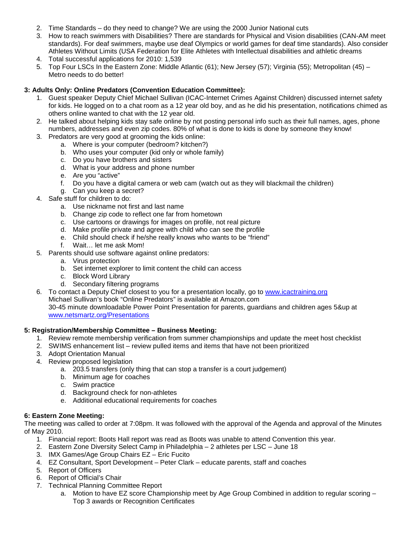- 2. Time Standards do they need to change? We are using the 2000 Junior National cuts
- 3. How to reach swimmers with Disabilities? There are standards for Physical and Vision disabilities (CAN-AM meet standards). For deaf swimmers, maybe use deaf Olympics or world games for deaf time standards). Also consider Athletes Without Limits (USA Federation for Elite Athletes with Intellectual disabilities and athletic dreams
- 4. Total successful applications for 2010: 1,539
- 5. Top Four LSCs In the Eastern Zone: Middle Atlantic (61); New Jersey (57); Virginia (55); Metropolitan (45) Metro needs to do better!

## **3: Adults Only: Online Predators (Convention Education Committee):**

- 1. Guest speaker Deputy Chief Michael Sullivan (ICAC-Internet Crimes Against Children) discussed internet safety for kids. He logged on to a chat room as a 12 year old boy, and as he did his presentation, notifications chimed as others online wanted to chat with the 12 year old.
- 2. He talked about helping kids stay safe online by not posting personal info such as their full names, ages, phone numbers, addresses and even zip codes. 80% of what is done to kids is done by someone they know!
- 3. Predators are very good at grooming the kids online:
	- a. Where is your computer (bedroom? kitchen?)
	- b. Who uses your computer (kid only or whole family)
	- c. Do you have brothers and sisters
	- d. What is your address and phone number
	- e. Are you "active"
	- f. Do you have a digital camera or web cam (watch out as they will blackmail the children)
	- g. Can you keep a secret?
- 4. Safe stuff for children to do:
	- a. Use nickname not first and last name
	- b. Change zip code to reflect one far from hometown
	- c. Use cartoons or drawings for images on profile, not real picture
	- d. Make profile private and agree with child who can see the profile
	- e. Child should check if he/she really knows who wants to be "friend"
	- f. Wait… let me ask Mom!
- 5. Parents should use software against online predators:
	- a. Virus protection
	- b. Set internet explorer to limit content the child can access
	- c. Block Word Library
	- d. Secondary filtering programs
- 6. To contact a Deputy Chief closest to you for a presentation locally, go to www.icactraining.org Michael Sullivan's book "Online Predators" is available at Amazon.com 30-45 minute downloadable Power Point Presentation for parents, guardians and children ages 5&up at www.netsmartz.org/Presentations

#### **5: Registration/Membership Committee – Business Meeting:**

- 1. Review remote membership verification from summer championships and update the meet host checklist
- 2. SWIMS enhancement list review pulled items and items that have not been prioritized
- 3. Adopt Orientation Manual
- 4. Review proposed legislation
	- a. 203.5 transfers (only thing that can stop a transfer is a court judgement)
	- b. Minimum age for coaches
	- c. Swim practice
	- d. Background check for non-athletes
	- e. Additional educational requirements for coaches

#### **6: Eastern Zone Meeting:**

The meeting was called to order at 7:08pm. It was followed with the approval of the Agenda and approval of the Minutes of May 2010.

- 1. Financial report: Boots Hall report was read as Boots was unable to attend Convention this year.
- 2. Eastern Zone Diversity Select Camp in Philadelphia 2 athletes per LSC June 18
- 3. IMX Games/Age Group Chairs EZ Eric Fucito
- 4. EZ Consultant, Sport Development Peter Clark educate parents, staff and coaches
- 5. Report of Officers
- 6. Report of Official's Chair
- 7. Technical Planning Committee Report
	- a. Motion to have EZ score Championship meet by Age Group Combined in addition to regular scoring Top 3 awards or Recognition Certificates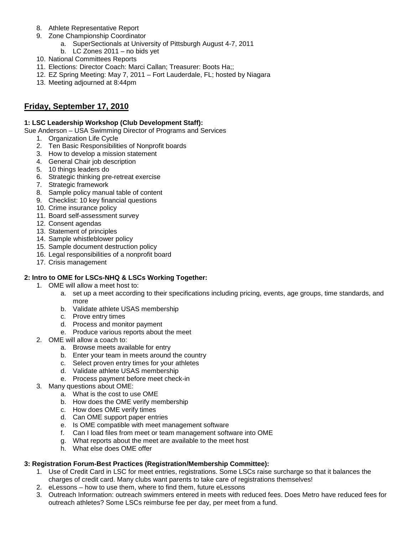- 8. Athlete Representative Report
- 9. Zone Championship Coordinator
	- a. SuperSectionals at University of Pittsburgh August 4-7, 2011
	- b. LC Zones 2011 no bids yet
- 10. National Committees Reports
- 11. Elections: Director Coach: Marci Callan; Treasurer: Boots Ha;;
- 12. EZ Spring Meeting: May 7, 2011 Fort Lauderdale, FL; hosted by Niagara
- 13. Meeting adjourned at 8:44pm

# **Friday, September 17, 2010**

### **1: LSC Leadership Workshop (Club Development Staff):**

- Sue Anderson USA Swimming Director of Programs and Services
	- 1. Organization Life Cycle
	- 2. Ten Basic Responsibilities of Nonprofit boards
	- 3. How to develop a mission statement
	- 4. General Chair job description
	- 5. 10 things leaders do
	- 6. Strategic thinking pre-retreat exercise
	- 7. Strategic framework
	- 8. Sample policy manual table of content
	- 9. Checklist: 10 key financial questions
	- 10. Crime insurance policy
	- 11. Board self-assessment survey
	- 12. Consent agendas
	- 13. Statement of principles
	- 14. Sample whistleblower policy
	- 15. Sample document destruction policy
	- 16. Legal responsibilities of a nonprofit board
	- 17. Crisis management

## **2: Intro to OME for LSCs-NHQ & LSCs Working Together:**

- 1. OME will allow a meet host to:
	- a. set up a meet according to their specifications including pricing, events, age groups, time standards, and more
	- b. Validate athlete USAS membership
	- c. Prove entry times
	- d. Process and monitor payment
	- e. Produce various reports about the meet
- 2. OME will allow a coach to:
	- a. Browse meets available for entry
	- b. Enter your team in meets around the country
	- c. Select proven entry times for your athletes
	- d. Validate athlete USAS membership
	- e. Process payment before meet check-in
- 3. Many questions about OME:
	- a. What is the cost to use OME
	- b. How does the OME verify membership
	- c. How does OME verify times
	- d. Can OME support paper entries
	- e. Is OME compatible with meet management software
	- f. Can I load files from meet or team management software into OME
	- g. What reports about the meet are available to the meet host
	- h. What else does OME offer

## **3: Registration Forum-Best Practices (Registration/Membership Committee):**

- 1. Use of Credit Card in LSC for meet entries, registrations. Some LSCs raise surcharge so that it balances the charges of credit card. Many clubs want parents to take care of registrations themselves!
- 2. eLessons how to use them, where to find them, future eLessons
- 3. Outreach Information: outreach swimmers entered in meets with reduced fees. Does Metro have reduced fees for outreach athletes? Some LSCs reimburse fee per day, per meet from a fund.